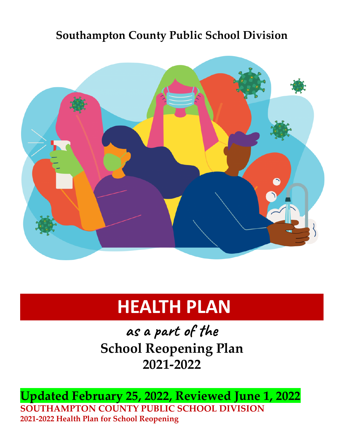# **Southampton County Public School Division**



# **HEALTH PLAN**

**as a part of the School Reopening Plan 2021-2022**

**Updated February 25, 2022, Reviewed June 1, 2022 SOUTHAMPTON COUNTY PUBLIC SCHOOL DIVISION 2021-2022 Health Plan for School Reopening**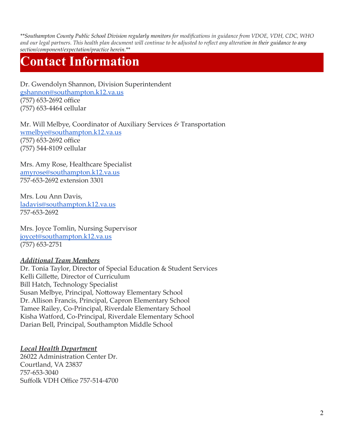\*\*Southampton County Public School Division regularly monitors for modifications in guidance from VDOE, VDH, CDC, WHO and our legal partners. This health plan document will continue to be adjusted to reflect any alteration in their guidance to any *section/component/expectation/practice herein.\*\**

# **Contact Information**

Dr. Gwendolyn Shannon, Division Superintendent [gshannon@southampton.k12.va.us](mailto:gshannon@southampton.k12.va.us) (757) 653-2692 office (757) 653-4464 cellular

Mr. Will Melbye, Coordinator of Auxiliary Services *&* Transportation [wmelbye@southampton.k12.va.us](mailto:wmelbye@southampton.k12.va.us) (757) 653-2692 office (757) 544-8109 cellular

Mrs. Amy Rose, Healthcare Specialist [amyrose@southampton.k12.va.us](mailto:amyrose@southampton.k12.va.us) 757-653-2692 extension 3301

Mrs. Lou Ann Davis, [ladavis@southampton.k12.va.us](mailto:ladavis@southampton.k12.va.us) 757-653-2692

Mrs. Joyce Tomlin, Nursing Supervisor [joycet@southampton.k12.va.us](mailto:joycet@southampton.k12.va.us) (757) 653-2751

#### *Additional Team Members*

Dr. Tonia Taylor, Director of Special Education & Student Services Kelli Gillette, Director of Curriculum Bill Hatch, Technology Specialist Susan Melbye, Principal, Nottoway Elementary School Dr. Allison Francis, Principal, Capron Elementary School Tamee Railey, Co-Principal, Riverdale Elementary School Kisha Watford, Co-Principal, Riverdale Elementary School Darian Bell, Principal, Southampton Middle School

#### *Local Health Department*

26022 Administration Center Dr. Courtland, VA 23837 757-653-3040 Suffolk VDH Office 757-514-4700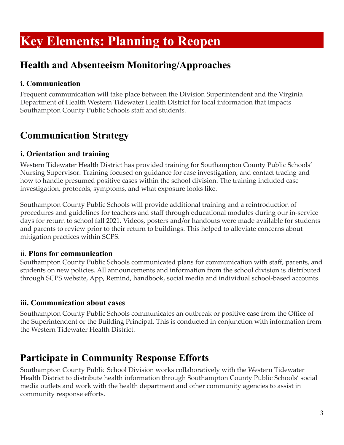# **Key Elements: Planning to Reopen**

### **Health and Absenteeism Monitoring/Approaches**

#### **i. Communication**

Frequent communication will take place between the Division Superintendent and the Virginia Department of Health Western Tidewater Health District for local information that impacts Southampton County Public Schools staff and students.

### **Communication Strategy**

#### **i. Orientation and training**

Western Tidewater Health District has provided training for Southampton County Public Schools' Nursing Supervisor. Training focused on guidance for case investigation, and contact tracing and how to handle presumed positive cases within the school division. The training included case investigation, protocols, symptoms, and what exposure looks like.

Southampton County Public Schools will provide additional training and a reintroduction of procedures and guidelines for teachers and staff through educational modules during our in-service days for return to school fall 2021. Videos, posters and/or handouts were made available for students and parents to review prior to their return to buildings. This helped to alleviate concerns about mitigation practices within SCPS.

#### ii. **Plans for communication**

Southampton County Public Schools communicated plans for communication with staff, parents, and students on new policies. All announcements and information from the school division is distributed through SCPS website, App, Remind, handbook, social media and individual school-based accounts.

#### **iii. Communication about cases**

Southampton County Public Schools communicates an outbreak or positive case from the Office of the Superintendent or the Building Principal. This is conducted in conjunction with information from the Western Tidewater Health District.

### **Participate in Community Response Efforts**

Southampton County Public School Division works collaboratively with the Western Tidewater Health District to distribute health information through Southampton County Public Schools' social media outlets and work with the health department and other community agencies to assist in community response efforts.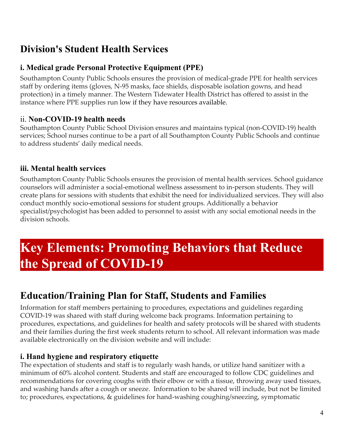## **Division's Student Health Services**

#### **i. Medical grade Personal Protective Equipment (PPE)**

Southampton County Public Schools ensures the provision of medical-grade PPE for health services staff by ordering items (gloves, N-95 masks, face shields, disposable isolation gowns, and head protection) in a timely manner. The Western Tidewater Health District has offered to assist in the instance where PPE supplies run low if they have resources available.

#### ii. **Non-COVID-19 health needs**

Southampton County Public School Division ensures and maintains typical (non-COVID-19) health services; School nurses continue to be a part of all Southampton County Public Schools and continue to address students' daily medical needs.

#### **iii. Mental health services**

Southampton County Public Schools ensures the provision of mental health services. School guidance counselors will administer a social-emotional wellness assessment to in-person students. They will create plans for sessions with students that exhibit the need for individualized services. They will also conduct monthly socio-emotional sessions for student groups. Additionally a behavior specialist/psychologist has been added to personnel to assist with any social emotional needs in the division schools.

# **Key Elements: Promoting Behaviors that Reduce the Spread of COVID-19**

## **Education/Training Plan for Staff, Students and Families**

Information for staff members pertaining to procedures, expectations and guidelines regarding COVID-19 was shared with staff during welcome back programs. Information pertaining to procedures, expectations, and guidelines for health and safety protocols will be shared with students and their families during the first week students return to school. All relevant information was made available electronically on the division website and will include:

#### **i. Hand hygiene and respiratory etiquette**

The expectation of students and staff is to regularly wash hands, or utilize hand sanitizer with a minimum of 60% alcohol content. Students and staff are encouraged to follow CDC guidelines and recommendations for covering coughs with their elbow or with a tissue, throwing away used tissues, and washing hands after a cough or sneeze. Information to be shared will include, but not be limited to; procedures, expectations, & guidelines for hand-washing coughing/sneezing, symptomatic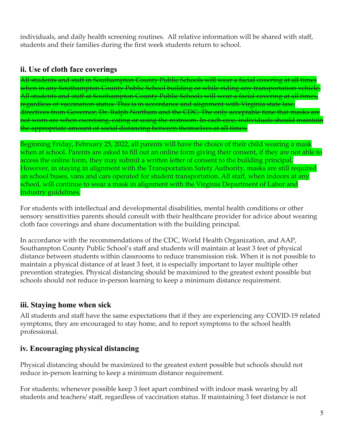individuals, and daily health screening routines. All relative information will be shared with staff, students and their families during the first week students return to school.

#### **ii. Use of cloth face coverings**

All students and staff in Southampton County Public Schools will wear a facial covering at all times when in any Southampton County Public School building or while riding any transportation vehicle. All students and staff at Southampton County Public Schools will wear a facial covering at all times, regardless of vaccination status. This is in accordance and alignment with Virginia state law, directives from Governor, Dr. Ralph Northam and the CDC. The only acceptable time that masks are not worn are when exercising, eating or using the restroom. In each case, individuals should maintain the appropriate amount of social distancing between themselves at all times.

Beginning Friday, February 25, 2022, all parents will have the choice of their child wearing a mask when at school. Parents are asked to fill out an online form giving their consent, if they are not able to access the online form, they may submit a written letter of consent to the building principal. However, in staying in alignment with the Transportation Safety Authority, masks are still required on school buses, vans and cars operated for student transportation. All staff, when indoors at any school, will continue to wear a mask in alignment with the Virginia Department of Labor and Industry guidelines.

For students with intellectual and developmental disabilities, mental health conditions or other sensory sensitivities parents should consult with their healthcare provider for advice about wearing cloth face coverings and share documentation with the building principal.

In accordance with the recommendations of the CDC, World Health Organization, and AAP, Southampton County Public School's staff and students will maintain at least 3 feet of physical distance between students within classrooms to reduce transmission risk. When it is not possible to maintain a physical distance of at least 3 feet, it is especially important to layer multiple other prevention strategies. Physical distancing should be maximized to the greatest extent possible but schools should not reduce in-person learning to keep a minimum distance requirement.

#### **iii. Staying home when sick**

All students and staff have the same expectations that if they are experiencing any COVID-19 related symptoms, they are encouraged to stay home, and to report symptoms to the school health professional.

#### **iv. Encouraging physical distancing**

Physical distancing should be maximized to the greatest extent possible but schools should not reduce in-person learning to keep a minimum distance requirement.

For students; whenever possible keep 3 feet apart combined with indoor mask wearing by all students and teachers/ staff, regardless of vaccination status. If maintaining 3 feet distance is not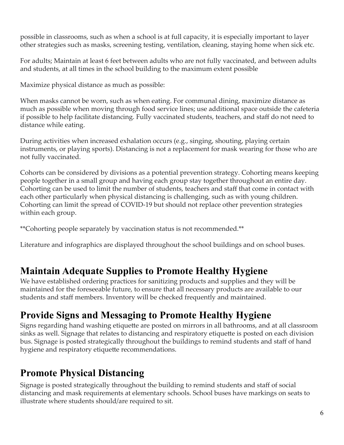possible in classrooms, such as when a school is at full capacity, it is especially important to layer other strategies such as masks, screening testing, ventilation, cleaning, staying home when sick etc.

For adults; Maintain at least 6 feet between adults who are not fully vaccinated, and between adults and students, at all times in the school building to the maximum extent possible

Maximize physical distance as much as possible:

When masks cannot be worn, such as when eating. For communal dining, maximize distance as much as possible when moving through food service lines; use additional space outside the cafeteria if possible to help facilitate distancing. Fully vaccinated students, teachers, and staff do not need to distance while eating.

During activities when increased exhalation occurs (e.g., singing, shouting, playing certain instruments, or playing sports). Distancing is not a replacement for mask wearing for those who are not fully vaccinated.

Cohorts can be considered by divisions as a potential prevention strategy. Cohorting means keeping people together in a small group and having each group stay together throughout an entire day. Cohorting can be used to limit the number of students, teachers and staff that come in contact with each other particularly when physical distancing is challenging, such as with young children. Cohorting can limit the spread of COVID-19 but should not replace other prevention strategies within each group.

\*\*Cohorting people separately by vaccination status is not recommended.\*\*

Literature and infographics are displayed throughout the school buildings and on school buses.

### **Maintain Adequate Supplies to Promote Healthy Hygiene**

We have established ordering practices for sanitizing products and supplies and they will be maintained for the foreseeable future, to ensure that all necessary products are available to our students and staff members. Inventory will be checked frequently and maintained.

## **Provide Signs and Messaging to Promote Healthy Hygiene**

Signs regarding hand washing etiquette are posted on mirrors in all bathrooms, and at all classroom sinks as well. Signage that relates to distancing and respiratory etiquette is posted on each division bus. Signage is posted strategically throughout the buildings to remind students and staff of hand hygiene and respiratory etiquette recommendations.

## **Promote Physical Distancing**

Signage is posted strategically throughout the building to remind students and staff of social distancing and mask requirements at elementary schools. School buses have markings on seats to illustrate where students should/are required to sit.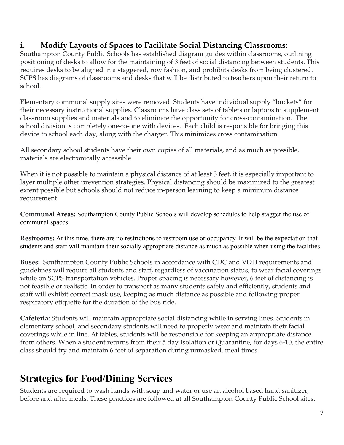#### **i. Modify Layouts of Spaces to Facilitate Social Distancing Classrooms:**

Southampton County Public Schools has established diagram guides within classrooms, outlining positioning of desks to allow for the maintaining of 3 feet of social distancing between students. This requires desks to be aligned in a staggered, row fashion, and prohibits desks from being clustered. SCPS has diagrams of classrooms and desks that will be distributed to teachers upon their return to school.

Elementary communal supply sites were removed. Students have individual supply "buckets" for their necessary instructional supplies. Classrooms have class sets of tablets or laptops to supplement classroom supplies and materials and to eliminate the opportunity for cross-contamination. The school division is completely one-to-one with devices. Each child is responsible for bringing this device to school each day, along with the charger. This minimizes cross contamination.

All secondary school students have their own copies of all materials, and as much as possible, materials are electronically accessible.

When it is not possible to maintain a physical distance of at least 3 feet, it is especially important to layer multiple other prevention strategies. Physical distancing should be maximized to the greatest extent possible but schools should not reduce in-person learning to keep a minimum distance requirement

**Communal Areas:** Southampton County Public Schools will develop schedules to help stagger the use of communal spaces.

**Restrooms:** At this time, there are no restrictions to restroom use or occupancy. It will be the expectation that students and staff will maintain their socially appropriate distance as much as possible when using the facilities.

**Buses:** Southampton County Public Schools in accordance with CDC and VDH requirements and guidelines will require all students and staff, regardless of vaccination status, to wear facial coverings while on SCPS transportation vehicles. Proper spacing is necessary however, 6 feet of distancing is not feasible or realistic. In order to transport as many students safely and efficiently, students and staff will exhibit correct mask use, keeping as much distance as possible and following proper respiratory etiquette for the duration of the bus ride.

**Cafeteria:** Students will maintain appropriate social distancing while in serving lines. Students in elementary school, and secondary students will need to properly wear and maintain their facial coverings while in line. At tables, students will be responsible for keeping an appropriate distance from others. When a student returns from their 5 day Isolation or Quarantine, for days 6-10, the entire class should try and maintain 6 feet of separation during unmasked, meal times.

## **Strategies for Food/Dining Services**

Students are required to wash hands with soap and water or use an alcohol based hand sanitizer, before and after meals. These practices are followed at all Southampton County Public School sites.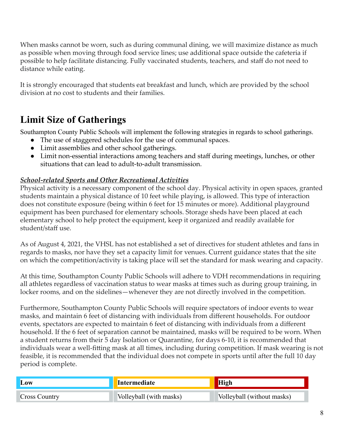When masks cannot be worn, such as during communal dining, we will maximize distance as much as possible when moving through food service lines; use additional space outside the cafeteria if possible to help facilitate distancing. Fully vaccinated students, teachers, and staff do not need to distance while eating.

It is strongly encouraged that students eat breakfast and lunch, which are provided by the school division at no cost to students and their families.

# **Limit Size of Gatherings**

Southampton County Public Schools will implement the following strategies in regards to school gatherings.

- The use of staggered schedules for the use of communal spaces.
- Limit assemblies and other school gatherings.
- Limit non-essential interactions among teachers and staff during meetings, lunches, or other situations that can lead to adult-to-adult transmission.

#### *School-related Sports and Other Recreational Activities*

Physical activity is a necessary component of the school day. Physical activity in open spaces, granted students maintain a physical distance of 10 feet while playing, is allowed. This type of interaction does not constitute exposure (being within 6 feet for 15 minutes or more). Additional playground equipment has been purchased for elementary schools. Storage sheds have been placed at each elementary school to help protect the equipment, keep it organized and readily available for student/staff use.

As of August 4, 2021, the VHSL has not established a set of directives for student athletes and fans in regards to masks, nor have they set a capacity limit for venues. Current guidance states that the site on which the competition/activity is taking place will set the standard for mask wearing and capacity.

At this time, Southampton County Public Schools will adhere to VDH recommendations in requiring all athletes regardless of vaccination status to wear masks at times such as during group training, in locker rooms, and on the sidelines—whenever they are not directly involved in the competition.

Furthermore, Southampton County Public Schools will require spectators of indoor events to wear masks, and maintain 6 feet of distancing with individuals from different households. For outdoor events, spectators are expected to maintain 6 feet of distancing with individuals from a different household. If the 6 feet of separation cannot be maintained, masks will be required to be worn. When a student returns from their 5 day Isolation or Quarantine, for days 6-10, it is recommended that individuals wear a well-fitting mask at all times, including during competition. If mask wearing is not feasible, it is recommended that the individual does not compete in sports until after the full 10 day period is complete.

| Low                  | Intermediate            |                            |
|----------------------|-------------------------|----------------------------|
| <b>Cross Country</b> | Volleyball (with masks) | Volleyball (without masks) |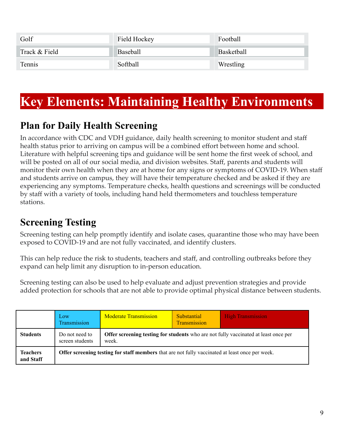| Golf          | Field Hockey | Football   |
|---------------|--------------|------------|
| Track & Field | Baseball     | Basketball |
| Tennis        | Softball     | Wrestling  |

# **Key Elements: Maintaining Healthy Environments**

## **Plan for Daily Health Screening**

In accordance with CDC and VDH guidance, daily health screening to monitor student and staff health status prior to arriving on campus will be a combined effort between home and school. Literature with helpful screening tips and guidance will be sent home the first week of school, and will be posted on all of our social media, and division websites. Staff, parents and students will monitor their own health when they are at home for any signs or symptoms of COVID-19. When staff and students arrive on campus, they will have their temperature checked and be asked if they are experiencing any symptoms. Temperature checks, health questions and screenings will be conducted by staff with a variety of tools, including hand held thermometers and touchless temperature stations.

# **Screening Testing**

Screening testing can help promptly identify and isolate cases, quarantine those who may have been exposed to COVID-19 and are not fully vaccinated, and identify clusters.

This can help reduce the risk to students, teachers and staff, and controlling outbreaks before they expand can help limit any disruption to in-person education.

Screening testing can also be used to help evaluate and adjust prevention strategies and provide added protection for schools that are not able to provide optimal physical distance between students.

|                              | Low<br>Transmission                                                                                    | <b>Moderate Transmission</b>                                                                        | Substantial<br>Transmission | <b>High Transmission</b> |  |
|------------------------------|--------------------------------------------------------------------------------------------------------|-----------------------------------------------------------------------------------------------------|-----------------------------|--------------------------|--|
| <b>Students</b>              | Do not need to<br>screen students                                                                      | <b>Offer screening testing for students</b> who are not fully vaccinated at least once per<br>week. |                             |                          |  |
| <b>Teachers</b><br>and Staff | <b>Offer screening testing for staff members</b> that are not fully vaccinated at least once per week. |                                                                                                     |                             |                          |  |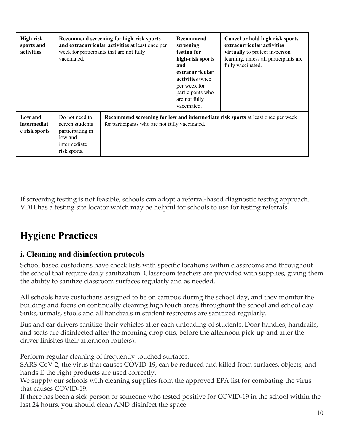| High risk<br>sports and<br>activities   | Recommend screening for high-risk sports<br>and extracurricular activities at least once per<br>week for participants that are not fully<br>vaccinated. |                                                | Recommend<br>screening<br>testing for<br>high-risk sports<br>and<br>extracurricular<br>activities twice<br>per week for<br>participants who<br>are not fully<br>vaccinated. | Cancel or hold high risk sports<br>extracurricular activities<br>virtually to protect in-person<br>learning, unless all participants are<br>fully vaccinated. |
|-----------------------------------------|---------------------------------------------------------------------------------------------------------------------------------------------------------|------------------------------------------------|-----------------------------------------------------------------------------------------------------------------------------------------------------------------------------|---------------------------------------------------------------------------------------------------------------------------------------------------------------|
| Low and<br>intermediat<br>e risk sports | Do not need to<br>screen students<br>participating in<br>low and<br>intermediate<br>risk sports.                                                        | for participants who are not fully vaccinated. |                                                                                                                                                                             | Recommend screening for low and intermediate risk sports at least once per week                                                                               |

If screening testing is not feasible, schools can adopt a referral-based diagnostic testing approach. VDH has a testing site locator which may be helpful for schools to use for testing referrals.

## **Hygiene Practices**

#### **i. Cleaning and disinfection protocols**

School based custodians have check lists with specific locations within classrooms and throughout the school that require daily sanitization. Classroom teachers are provided with supplies, giving them the ability to sanitize classroom surfaces regularly and as needed.

All schools have custodians assigned to be on campus during the school day, and they monitor the building and focus on continually cleaning high touch areas throughout the school and school day. Sinks, urinals, stools and all handrails in student restrooms are sanitized regularly.

Bus and car drivers sanitize their vehicles after each unloading of students. Door handles, handrails, and seats are disinfected after the morning drop offs, before the afternoon pick-up and after the driver finishes their afternoon route(s).

Perform regular cleaning of frequently-touched surfaces.

SARS-CoV-2, the virus that causes COVID-19, can be reduced and killed from surfaces, objects, and hands if the right products are used correctly.

We supply our schools with cleaning supplies from the approved EPA list for combating the virus that causes COVID-19.

If there has been a sick person or someone who tested positive for COVID-19 in the school within the last 24 hours, you should clean AND disinfect the space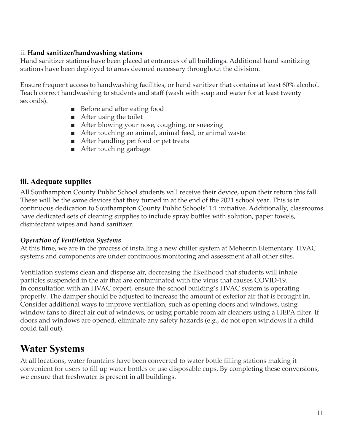#### ii. **Hand sanitizer/handwashing stations**

Hand sanitizer stations have been placed at entrances of all buildings. Additional hand sanitizing stations have been deployed to areas deemed necessary throughout the division.

Ensure frequent access to handwashing facilities, or hand sanitizer that contains at least 60% alcohol. Teach correct handwashing to students and staff (wash with soap and water for at least twenty seconds).

- Before and after eating food
- After using the toilet
- After blowing your nose, coughing, or sneezing
- After touching an animal, animal feed, or animal waste
- After handling pet food or pet treats
- After touching garbage

#### **iii. Adequate supplies**

All Southampton County Public School students will receive their device, upon their return this fall. These will be the same devices that they turned in at the end of the 2021 school year. This is in continuous dedication to Southampton County Public Schools' 1:1 initiative. Additionally, classrooms have dedicated sets of cleaning supplies to include spray bottles with solution, paper towels, disinfectant wipes and hand sanitizer.

#### *Operation of Ventilation Systems*

At this time, we are in the process of installing a new chiller system at Meherrin Elementary. HVAC systems and components are under continuous monitoring and assessment at all other sites.

Ventilation systems clean and disperse air, decreasing the likelihood that students will inhale particles suspended in the air that are contaminated with the virus that causes COVID-19. In consultation with an HVAC expert, ensure the school building's HVAC system is operating properly. The damper should be adjusted to increase the amount of exterior air that is brought in. Consider additional ways to improve ventilation, such as opening doors and windows, using window fans to direct air out of windows, or using portable room air cleaners using a HEPA filter. If doors and windows are opened, eliminate any safety hazards (e.g., do not open windows if a child could fall out).

### **Water Systems**

At all locations, water fountains have been converted to water bottle filling stations making it convenient for users to fill up water bottles or use disposable cups. By completing these conversions, we ensure that freshwater is present in all buildings.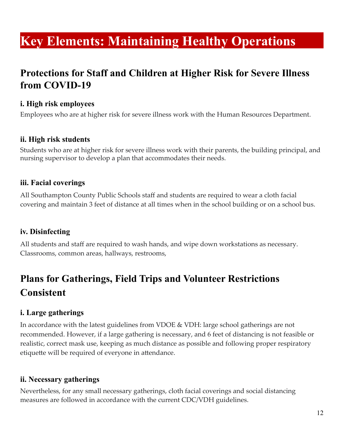# **Key Elements: Maintaining Healthy Operations**

## **Protections for Staff and Children at Higher Risk for Severe Illness from COVID-19**

#### **i. High risk employees**

Employees who are at higher risk for severe illness work with the Human Resources Department.

#### **ii. High risk students**

Students who are at higher risk for severe illness work with their parents, the building principal, and nursing supervisor to develop a plan that accommodates their needs.

#### **iii. Facial coverings**

All Southampton County Public Schools staff and students are required to wear a cloth facial covering and maintain 3 feet of distance at all times when in the school building or on a school bus.

#### **iv. Disinfecting**

All students and staff are required to wash hands, and wipe down workstations as necessary. Classrooms, common areas, hallways, restrooms,

# **Plans for Gatherings, Field Trips and Volunteer Restrictions Consistent**

#### **i. Large gatherings**

In accordance with the latest guidelines from VDOE & VDH: large school gatherings are not recommended. However, if a large gathering is necessary, and 6 feet of distancing is not feasible or realistic, correct mask use, keeping as much distance as possible and following proper respiratory etiquette will be required of everyone in attendance.

#### **ii. Necessary gatherings**

Nevertheless, for any small necessary gatherings, cloth facial coverings and social distancing measures are followed in accordance with the current CDC/VDH guidelines.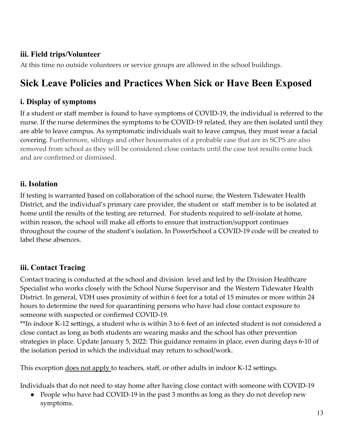#### **iii. Field trips/Volunteer**

At this time no outside volunteers or service groups are allowed in the school buildings.

# **Sick Leave Policies and Practices When Sick or Have Been Exposed**

#### **i. Display of symptoms**

If a student or staff member is found to have symptoms of COVID-19, the individual is referred to the nurse. If the nurse determines the symptoms to be COVID-19 related, they are then isolated until they are able to leave campus. As symptomatic individuals wait to leave campus, they must wear a facial covering. Furthermore, siblings and other housemates of a probable case that are in SCPS are also removed from school as they will be considered close contacts until the case test results come back and are confirmed or dismissed.

#### **ii. Isolation**

If testing is warranted based on collaboration of the school nurse, the Western Tidewater Health District, and the individual's primary care provider, the student or staff member is to be isolated at home until the results of the testing are returned. For students required to self-isolate at home, within reason, the school will make all efforts to ensure that instruction/support continues throughout the course of the student's isolation. In PowerSchool a COVID-19 code will be created to label these absences.

#### **iii. Contact Tracing**

Contact tracing is conducted at the school and division level and led by the Division Healthcare Specialist who works closely with the School Nurse Supervisor and the Western Tidewater Health District. In general, VDH uses proximity of within 6 feet for a total of 15 minutes or more within 24 hours to determine the need for quarantining persons who have had close contact exposure to someone with suspected or confirmed COVID-19.

\*\*In indoor K-12 settings, a student who is within 3 to 6 feet of an infected student is not considered a close contact as long as both students are wearing masks and the school has other prevention strategies in place. Update January 5, 2022: This guidance remains in place, even during days 6-10 of the isolation period in which the individual may return to school/work.

This exception does not apply to teachers, staff, or other adults in indoor K-12 settings.

Individuals that do not need to stay home after having close contact with someone with COVID-19

• People who have had COVID-19 in the past 3 months as long as they do not develop new symptoms.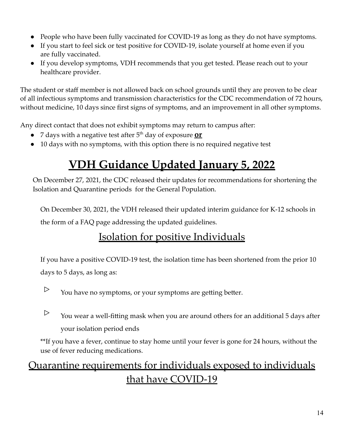- People who have been fully vaccinated for COVID-19 as long as they do not have symptoms.
- If you start to feel sick or test positive for COVID-19, isolate yourself at home even if you are fully vaccinated.
- If you develop symptoms, VDH recommends that you get tested. Please reach out to your healthcare provider.

The student or staff member is not allowed back on school grounds until they are proven to be clear of all infectious symptoms and transmission characteristics for the CDC recommendation of 72 hours, without medicine, 10 days since first signs of symptoms, and an improvement in all other symptoms.

Any direct contact that does not exhibit symptoms may return to campus after:

- 7 days with a negative test after 5<sup>th</sup> day of exposure **<u>or</u>**
- 10 days with no symptoms, with this option there is no required negative test

# **VDH Guidance Updated January 5, 2022**

On December 27, 2021, the CDC released their updates for recommendations for shortening the Isolation and Quarantine periods for the General Population.

On December 30, 2021, the VDH released their updated interim guidance for K-12 schools in the form of a FAQ page addressing the updated guidelines.

# Isolation for positive Individuals

If you have a positive COVID-19 test, the isolation time has been shortened from the prior 10 days to 5 days, as long as:

- $\triangleright$  You have no symptoms, or your symptoms are getting better.
- $\triangleright$  You wear a well-fitting mask when you are around others for an additional 5 days after your isolation period ends

\*\*If you have a fever, continue to stay home until your fever is gone for 24 hours, without the use of fever reducing medications.

# Quarantine requirements for individuals exposed to individuals that have COVID-19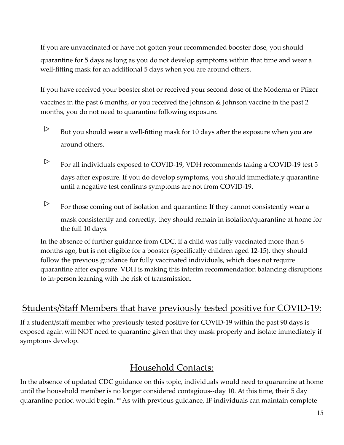If you are unvaccinated or have not gotten your recommended booster dose, you should quarantine for 5 days as long as you do not develop symptoms within that time and wear a well-fitting mask for an additional 5 days when you are around others.

If you have received your booster shot or received your second dose of the Moderna or Pfizer vaccines in the past 6 months, or you received the Johnson & Johnson vaccine in the past 2 months, you do not need to quarantine following exposure.

- $\triangleright$  But you should wear a well-fitting mask for 10 days after the exposure when you are around others.
- $\triangleright$  For all individuals exposed to COVID-19, VDH recommends taking a COVID-19 test 5 days after exposure. If you do develop symptoms, you should immediately quarantine until a negative test confirms symptoms are not from COVID-19.
- $\triangleright$  For those coming out of isolation and quarantine: If they cannot consistently wear a mask consistently and correctly, they should remain in isolation/quarantine at home for the full 10 days.

In the absence of further guidance from CDC, if a child was fully vaccinated more than 6 months ago, but is not eligible for a booster (specifically children aged 12-15), they should follow the previous guidance for fully vaccinated individuals, which does not require quarantine after exposure. VDH is making this interim recommendation balancing disruptions to in-person learning with the risk of transmission.

### Students/Staff Members that have previously tested positive for COVID-19:

If a student/staff member who previously tested positive for COVID-19 within the past 90 days is exposed again will NOT need to quarantine given that they mask properly and isolate immediately if symptoms develop.

### Household Contacts:

In the absence of updated CDC guidance on this topic, individuals would need to quarantine at home until the household member is no longer considered contagious--day 10. At this time, their 5 day quarantine period would begin. \*\*As with previous guidance, IF individuals can maintain complete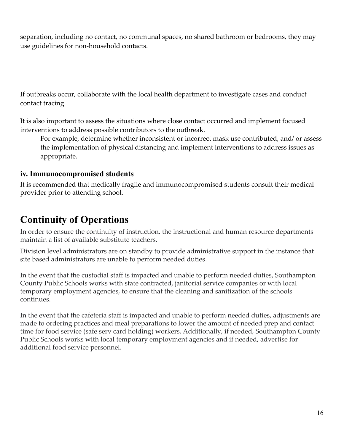separation, including no contact, no communal spaces, no shared bathroom or bedrooms, they may use guidelines for non-household contacts.

If outbreaks occur, collaborate with the local health department to investigate cases and conduct contact tracing.

It is also important to assess the situations where close contact occurred and implement focused interventions to address possible contributors to the outbreak.

For example, determine whether inconsistent or incorrect mask use contributed, and/ or assess the implementation of physical distancing and implement interventions to address issues as appropriate.

#### **iv. Immunocompromised students**

It is recommended that medically fragile and immunocompromised students consult their medical provider prior to attending school.

# **Continuity of Operations**

In order to ensure the continuity of instruction, the instructional and human resource departments maintain a list of available substitute teachers.

Division level administrators are on standby to provide administrative support in the instance that site based administrators are unable to perform needed duties.

In the event that the custodial staff is impacted and unable to perform needed duties, Southampton County Public Schools works with state contracted, janitorial service companies or with local temporary employment agencies, to ensure that the cleaning and sanitization of the schools continues.

In the event that the cafeteria staff is impacted and unable to perform needed duties, adjustments are made to ordering practices and meal preparations to lower the amount of needed prep and contact time for food service (safe serv card holding) workers. Additionally, if needed, Southampton County Public Schools works with local temporary employment agencies and if needed, advertise for additional food service personnel.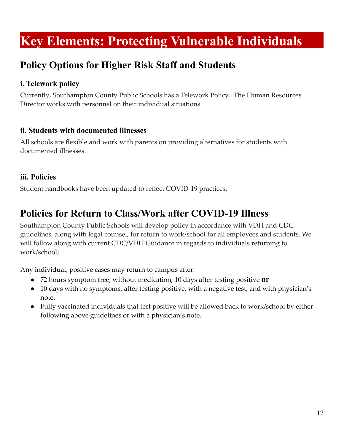# **Key Elements: Protecting Vulnerable Individuals**

## **Policy Options for Higher Risk Staff and Students**

#### **i. Telework policy**

Currently, Southampton County Public Schools has a Telework Policy. The Human Resources Director works with personnel on their individual situations.

#### **ii. Students with documented illnesses**

All schools are flexible and work with parents on providing alternatives for students with documented illnesses.

#### **iii. Policies**

Student handbooks have been updated to reflect COVID-19 practices.

### **Policies for Return to Class/Work after COVID-19 Illness**

Southampton County Public Schools will develop policy in accordance with VDH and CDC guidelines, along with legal counsel, for return to work/school for all employees and students. We will follow along with current CDC/VDH Guidance in regards to individuals returning to work/school;

Any individual, positive cases may return to campus after:

- 72 hours symptom free, without medication, 10 days after testing positive **or**
- 10 days with no symptoms, after testing positive, with a negative test, and with physician's note.
- Fully vaccinated individuals that test positive will be allowed back to work/school by either following above guidelines or with a physician's note.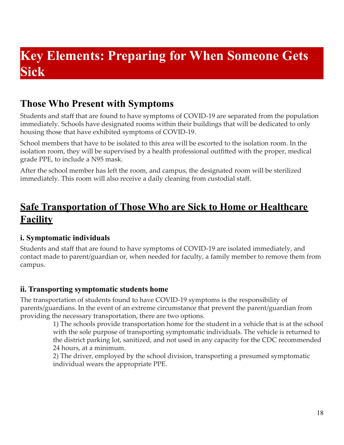# **Key Elements: Preparing for When Someone Gets Sick**

## **Those Who Present with Symptoms**

Students and staff that are found to have symptoms of COVID-19 are separated from the population immediately. Schools have designated rooms within their buildings that will be dedicated to only housing those that have exhibited symptoms of COVID-19.

School members that have to be isolated to this area will be escorted to the isolation room. In the isolation room, they will be supervised by a health professional outfitted with the proper, medical grade PPE, to include a N95 mask.

After the school member has left the room, and campus, the designated room will be sterilized immediately. This room will also receive a daily cleaning from custodial staff.

## **Safe Transportation of Those Who are Sick to Home or Healthcare Facility**

#### **i. Symptomatic individuals**

Students and staff that are found to have symptoms of COVID-19 are isolated immediately, and contact made to parent/guardian or, when needed for faculty, a family member to remove them from campus.

#### **ii. Transporting symptomatic students home**

The transportation of students found to have COVID-19 symptoms is the responsibility of parents/guardians. In the event of an extreme circumstance that prevent the parent/guardian from providing the necessary transportation, there are two options.

1) The schools provide transportation home for the student in a vehicle that is at the school with the sole purpose of transporting symptomatic individuals. The vehicle is returned to the district parking lot, sanitized, and not used in any capacity for the CDC recommended 24 hours, at a minimum.

2) The driver, employed by the school division, transporting a presumed symptomatic individual wears the appropriate PPE.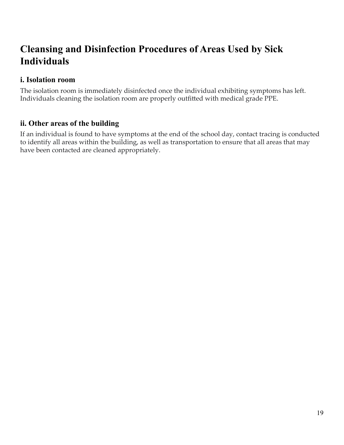## **Cleansing and Disinfection Procedures of Areas Used by Sick Individuals**

#### **i. Isolation room**

The isolation room is immediately disinfected once the individual exhibiting symptoms has left. Individuals cleaning the isolation room are properly outfitted with medical grade PPE.

#### **ii. Other areas of the building**

If an individual is found to have symptoms at the end of the school day, contact tracing is conducted to identify all areas within the building, as well as transportation to ensure that all areas that may have been contacted are cleaned appropriately.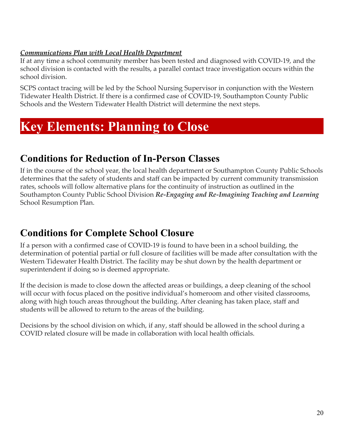#### *Communications Plan with Local Health Department*

If at any time a school community member has been tested and diagnosed with COVID-19, and the school division is contacted with the results, a parallel contact trace investigation occurs within the school division.

SCPS contact tracing will be led by the School Nursing Supervisor in conjunction with the Western Tidewater Health District. If there is a confirmed case of COVID-19, Southampton County Public Schools and the Western Tidewater Health District will determine the next steps.

# **Key Elements: Planning to Close**

### **Conditions for Reduction of In-Person Classes**

If in the course of the school year, the local health department or Southampton County Public Schools determines that the safety of students and staff can be impacted by current community transmission rates, schools will follow alternative plans for the continuity of instruction as outlined in the Southampton County Public School Division *Re-Engaging and Re-Imagining Teaching and Learning* School Resumption Plan.

## **Conditions for Complete School Closure**

If a person with a confirmed case of COVID-19 is found to have been in a school building, the determination of potential partial or full closure of facilities will be made after consultation with the Western Tidewater Health District. The facility may be shut down by the health department or superintendent if doing so is deemed appropriate.

If the decision is made to close down the affected areas or buildings, a deep cleaning of the school will occur with focus placed on the positive individual's homeroom and other visited classrooms, along with high touch areas throughout the building. After cleaning has taken place, staff and students will be allowed to return to the areas of the building.

Decisions by the school division on which, if any, staff should be allowed in the school during a COVID related closure will be made in collaboration with local health officials.